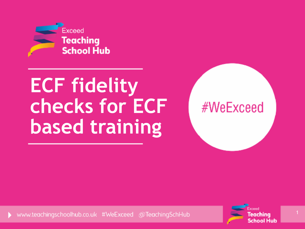

# **ECF fidelity checks for ECF based training**

www.teachingschoolhub.co.uk #WeExceed @TeachingSchHub



#WeExceed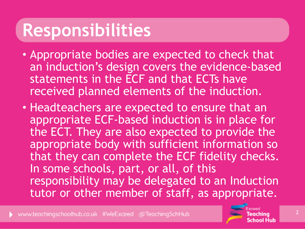## **Responsibilities**

- Appropriate bodies are expected to check that an induction's design covers the evidence-based statements in the ECF and that ECTs have received planned elements of the induction.
- Headteachers are expected to ensure that an appropriate ECF-based induction is in place for the ECT. They are also expected to provide the appropriate body with sufficient information so that they can complete the ECF fidelity checks. In some schools, part, or all, of this responsibility may be delegated to an Induction tutor or other member of staff, as appropriate.

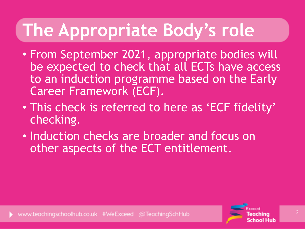# **The Appropriate Body's role**

- From September 2021, appropriate bodies will be expected to check that all ECTs have access to an induction programme based on the Early Career Framework (ECF).
- This check is referred to here as 'ECF fidelity' checking.
- Induction checks are broader and focus on other aspects of the ECT entitlement.

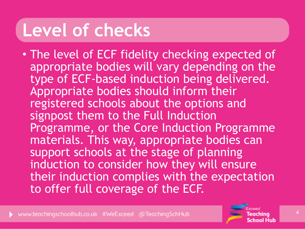## **Level of checks**

• The level of ECF fidelity checking expected of appropriate bodies will vary depending on the type of ECF-based induction being delivered. Appropriate bodies should inform their registered schools about the options and signpost them to the Full Induction Programme, or the Core Induction Programme materials. This way, appropriate bodies can support schools at the stage of planning induction to consider how they will ensure their induction complies with the expectation to offer full coverage of the ECF.



4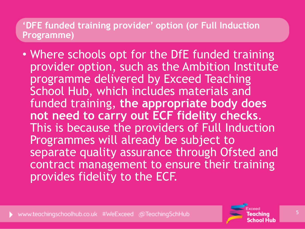#### **'DFE funded training provider' option (or Full Induction Programme)**

• Where schools opt for the DfE funded training provider option, such as the Ambition Institute programme delivered by Exceed Teaching School Hub, which includes materials and funded training, **the appropriate body does not need to carry out ECF fidelity checks**. This is because the providers of Full Induction Programmes will already be subject to separate quality assurance through Ofsted and contract management to ensure their training provides fidelity to the ECF.

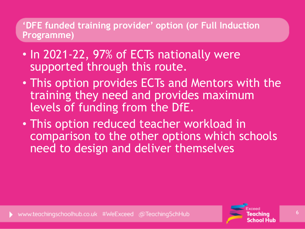#### **'DFE funded training provider' option (or Full Induction Programme)**

- In 2021-22, 97% of ECTs nationally were supported through this route.
- This option provides ECTs and Mentors with the training they need and provides maximum levels of funding from the DfE.
- This option reduced teacher workload in comparison to the other options which schools need to design and deliver themselves

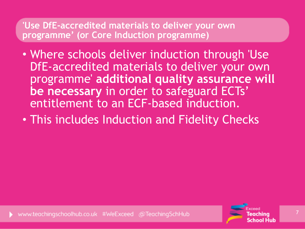- Where schools deliver induction through 'Use DfE-accredited materials to deliver your own programme' **additional quality assurance will be necessary** in order to safeguard ECTs' entitlement to an ECF-based induction.
- This includes Induction and Fidelity Checks

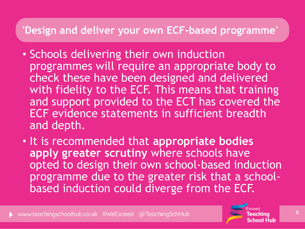- Schools delivering their own induction programmes will require an appropriate body to check these have been designed and delivered with fidelity to the ECF. This means that training and support provided to the ECT has covered the ECF evidence statements in sufficient breadth and depth.
- It is recommended that **appropriate bodies apply greater scrutiny** where schools have opted to design their own school-based induction programme due to the greater risk that a schoolbased induction could diverge from the ECF.

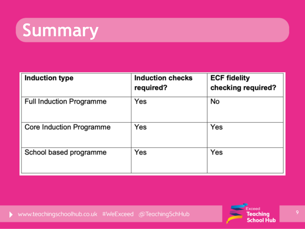## **Summary**

| <b>Induction type</b>           | <b>Induction checks</b><br>required? | <b>ECF fidelity</b><br>checking required? |
|---------------------------------|--------------------------------------|-------------------------------------------|
| <b>Full Induction Programme</b> | Yes                                  | No                                        |
| Core Induction Programme        | Yes                                  | Yes                                       |
| School based programme          | Yes                                  | Yes                                       |

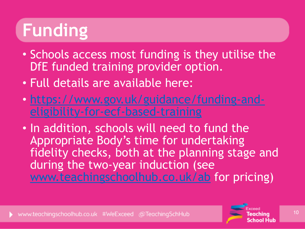# **Funding**

- Schools access most funding is they utilise the DfE funded training provider option.
- Full details are available here:
- [https://www.gov.uk/guidance/funding-and](https://www.gov.uk/guidance/funding-and-eligibility-for-ecf-based-training)[eligibility-for-ecf-based-training](https://www.gov.uk/guidance/funding-and-eligibility-for-ecf-based-training)
- In addition, schools will need to fund the Appropriate Body's time for undertaking fidelity checks, both at the planning stage and during the two-year induction (see [www.teachingschoolhub.co.uk/ab](http://www.teachingschoolhub.co.uk/ab) for pricing)

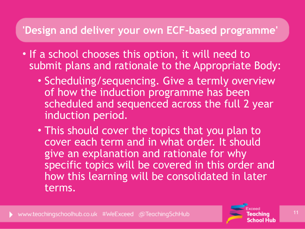- If a school chooses this option, it will need to submit plans and rationale to the Appropriate Body:
	- Scheduling/sequencing. Give a termly overview of how the induction programme has been scheduled and sequenced across the full 2 year induction period.
	- This should cover the topics that you plan to cover each term and in what order. It should give an explanation and rationale for why specific topics will be covered in this order and how this learning will be consolidated in later terms.

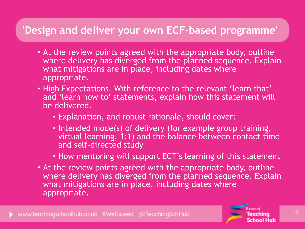- At the review points agreed with the appropriate body, outline where delivery has diverged from the planned sequence. Explain what mitigations are in place, including dates where appropriate.
- High Expectations. With reference to the relevant 'learn that' and 'learn how to' statements, explain how this statement will be delivered.
	- Explanation, and robust rationale, should cover:
	- Intended mode(s) of delivery (for example group training, virtual learning, 1:1) and the balance between contact time and self-directed study
	- How mentoring will support ECT's learning of this statement
- At the review points agreed with the appropriate body, outline where delivery has diverged from the planned sequence. Explain what mitigations are in place, including dates where appropriate.

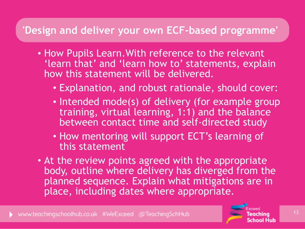- How Pupils Learn.With reference to the relevant 'learn that' and 'learn how to' statements, explain how this statement will be delivered.
	- Explanation, and robust rationale, should cover:
	- Intended mode(s) of delivery (for example group training, virtual learning, 1:1) and the balance between contact time and self-directed study
	- How mentoring will support ECT's learning of this statement
- At the review points agreed with the appropriate body, outline where delivery has diverged from the planned sequence. Explain what mitigations are in place, including dates where appropriate.

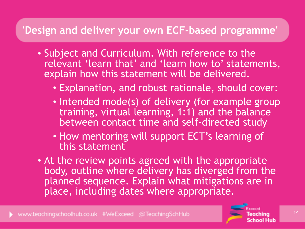- Subject and Curriculum. With reference to the relevant 'learn that' and 'learn how to' statements, explain how this statement will be delivered.
	- Explanation, and robust rationale, should cover:
	- Intended mode(s) of delivery (for example group training, virtual learning, 1:1) and the balance between contact time and self-directed study
	- How mentoring will support ECT's learning of this statement
- At the review points agreed with the appropriate body, outline where delivery has diverged from the planned sequence. Explain what mitigations are in place, including dates where appropriate.

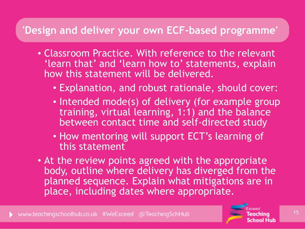- Classroom Practice. With reference to the relevant 'learn that' and 'learn how to' statements, explain how this statement will be delivered.
	- Explanation, and robust rationale, should cover:
	- Intended mode(s) of delivery (for example group training, virtual learning, 1:1) and the balance between contact time and self-directed study
	- How mentoring will support ECT's learning of this statement
- At the review points agreed with the appropriate body, outline where delivery has diverged from the planned sequence. Explain what mitigations are in place, including dates where appropriate.

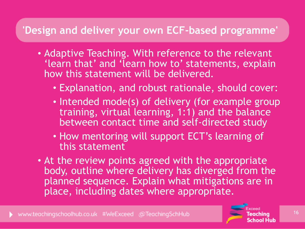- Adaptive Teaching. With reference to the relevant 'learn that' and 'learn how to' statements, explain how this statement will be delivered.
	- Explanation, and robust rationale, should cover:
	- Intended mode(s) of delivery (for example group training, virtual learning, 1:1) and the balance between contact time and self-directed study
	- How mentoring will support ECT's learning of this statement
- At the review points agreed with the appropriate body, outline where delivery has diverged from the planned sequence. Explain what mitigations are in place, including dates where appropriate.

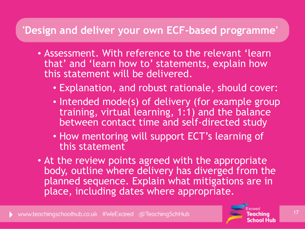- Assessment. With reference to the relevant 'learn that' and 'learn how to' statements, explain how this statement will be delivered.
	- Explanation, and robust rationale, should cover:
	- Intended mode(s) of delivery (for example group training, virtual learning, 1:1) and the balance between contact time and self-directed study
	- How mentoring will support ECT's learning of this statement
- At the review points agreed with the appropriate body, outline where delivery has diverged from the planned sequence. Explain what mitigations are in place, including dates where appropriate.

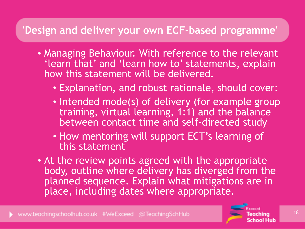- Managing Behaviour. With reference to the relevant 'learn that' and 'learn how to' statements, explain how this statement will be delivered.
	- Explanation, and robust rationale, should cover:
	- Intended mode(s) of delivery (for example group training, virtual learning, 1:1) and the balance between contact time and self-directed study
	- How mentoring will support ECT's learning of this statement
- At the review points agreed with the appropriate body, outline where delivery has diverged from the planned sequence. Explain what mitigations are in place, including dates where appropriate.

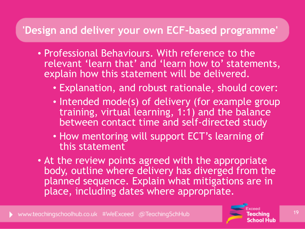- Professional Behaviours. With reference to the relevant 'learn that' and 'learn how to' statements, explain how this statement will be delivered.
	- Explanation, and robust rationale, should cover:
	- Intended mode(s) of delivery (for example group training, virtual learning, 1:1) and the balance between contact time and self-directed study
	- How mentoring will support ECT's learning of this statement
- At the review points agreed with the appropriate body, outline where delivery has diverged from the planned sequence. Explain what mitigations are in place, including dates where appropriate.

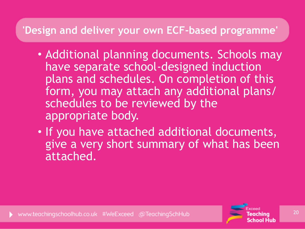- Additional planning documents. Schools may have separate school-designed induction plans and schedules. On completion of this form, you may attach any additional plans/ schedules to be reviewed by the appropriate body.
- If you have attached additional documents, give a very short summary of what has been attached.

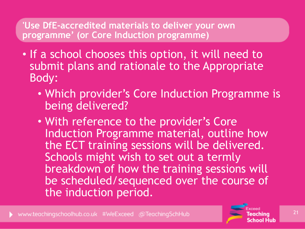- If a school chooses this option, it will need to submit plans and rationale to the Appropriate Body:
	- Which provider's Core Induction Programme is being delivered?
	- With reference to the provider's Core Induction Programme material, outline how the ECT training sessions will be delivered. Schools might wish to set out a termly breakdown of how the training sessions will be scheduled/sequenced over the course of the induction period.

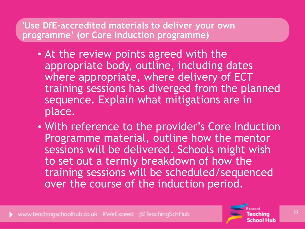- At the review points agreed with the appropriate body, outline, including dates where appropriate, where delivery of ECT training sessions has diverged from the planned sequence. Explain what mitigations are in place.
- With reference to the provider's Core Induction Programme material, outline how the mentor sessions will be delivered. Schools might wish to set out a termly breakdown of how the training sessions will be scheduled/sequenced over the course of the induction period.

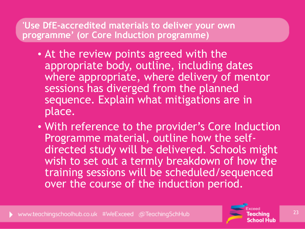- At the review points agreed with the appropriate body, outline, including dates where appropriate, where delivery of mentor sessions has diverged from the planned sequence. Explain what mitigations are in place.
- With reference to the provider's Core Induction Programme material, outline how the selfdirected study will be delivered. Schools might wish to set out a termly breakdown of how the training sessions will be scheduled/sequenced over the course of the induction period.